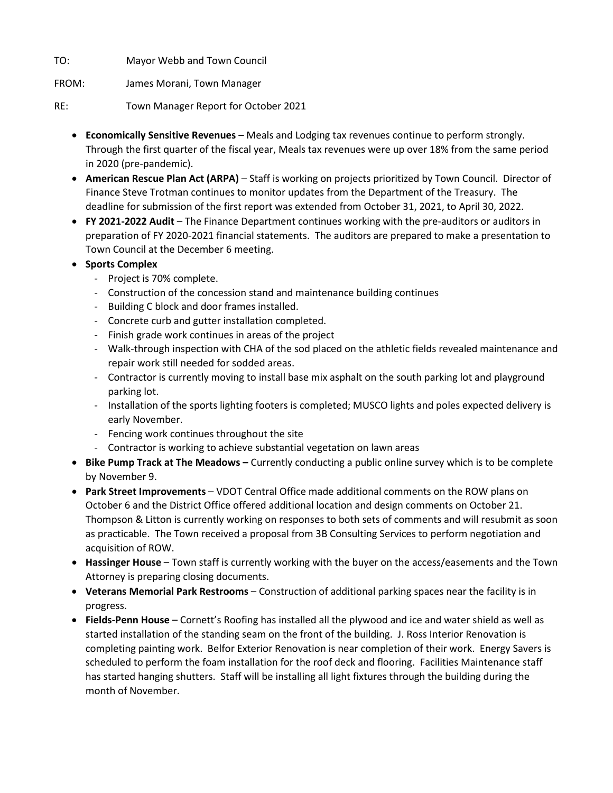TO: Mayor Webb and Town Council

FROM: James Morani, Town Manager

RE: Town Manager Report for October 2021

- **Economically Sensitive Revenues** Meals and Lodging tax revenues continue to perform strongly. Through the first quarter of the fiscal year, Meals tax revenues were up over 18% from the same period in 2020 (pre-pandemic).
- **American Rescue Plan Act (ARPA)** Staff is working on projects prioritized by Town Council. Director of Finance Steve Trotman continues to monitor updates from the Department of the Treasury. The deadline for submission of the first report was extended from October 31, 2021, to April 30, 2022.
- **FY 2021-2022 Audit** The Finance Department continues working with the pre-auditors or auditors in preparation of FY 2020-2021 financial statements. The auditors are prepared to make a presentation to Town Council at the December 6 meeting.
- **Sports Complex**
	- Project is 70% complete.
	- Construction of the concession stand and maintenance building continues
	- Building C block and door frames installed.
	- Concrete curb and gutter installation completed.
	- Finish grade work continues in areas of the project
	- Walk-through inspection with CHA of the sod placed on the athletic fields revealed maintenance and repair work still needed for sodded areas.
	- Contractor is currently moving to install base mix asphalt on the south parking lot and playground parking lot.
	- Installation of the sports lighting footers is completed; MUSCO lights and poles expected delivery is early November.
	- Fencing work continues throughout the site
	- Contractor is working to achieve substantial vegetation on lawn areas
- **Bike Pump Track at The Meadows –** Currently conducting a public online survey which is to be complete by November 9.
- **Park Street Improvements** VDOT Central Office made additional comments on the ROW plans on October 6 and the District Office offered additional location and design comments on October 21. Thompson & Litton is currently working on responses to both sets of comments and will resubmit as soon as practicable. The Town received a proposal from 3B Consulting Services to perform negotiation and acquisition of ROW.
- **Hassinger House** Town staff is currently working with the buyer on the access/easements and the Town Attorney is preparing closing documents.
- **Veterans Memorial Park Restrooms** Construction of additional parking spaces near the facility is in progress.
- **Fields-Penn House** Cornett's Roofing has installed all the plywood and ice and water shield as well as started installation of the standing seam on the front of the building. J. Ross Interior Renovation is completing painting work. Belfor Exterior Renovation is near completion of their work. Energy Savers is scheduled to perform the foam installation for the roof deck and flooring. Facilities Maintenance staff has started hanging shutters. Staff will be installing all light fixtures through the building during the month of November.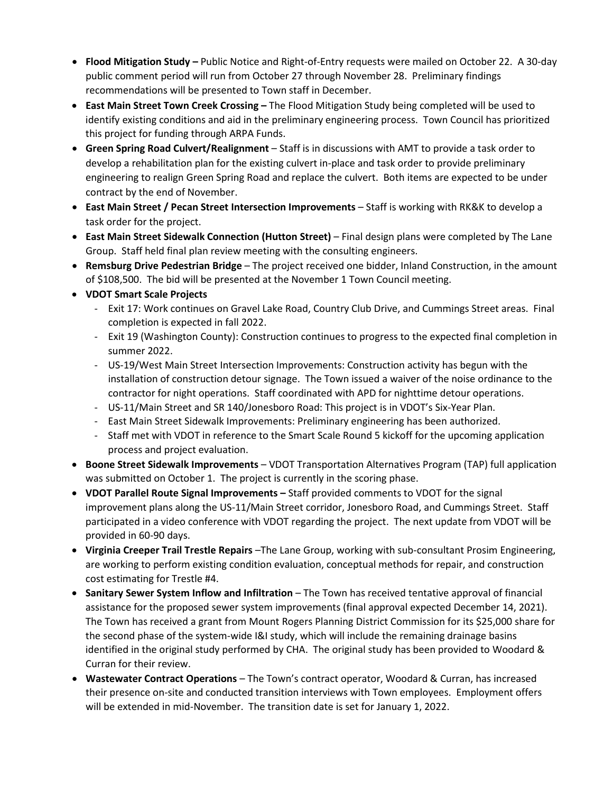- **Flood Mitigation Study –** Public Notice and Right-of-Entry requests were mailed on October 22. A 30-day public comment period will run from October 27 through November 28. Preliminary findings recommendations will be presented to Town staff in December.
- **East Main Street Town Creek Crossing –** The Flood Mitigation Study being completed will be used to identify existing conditions and aid in the preliminary engineering process. Town Council has prioritized this project for funding through ARPA Funds.
- **Green Spring Road Culvert/Realignment** Staff is in discussions with AMT to provide a task order to develop a rehabilitation plan for the existing culvert in-place and task order to provide preliminary engineering to realign Green Spring Road and replace the culvert. Both items are expected to be under contract by the end of November.
- **East Main Street / Pecan Street Intersection Improvements**  Staff is working with RK&K to develop a task order for the project.
- **East Main Street Sidewalk Connection (Hutton Street)** Final design plans were completed by The Lane Group. Staff held final plan review meeting with the consulting engineers.
- **Remsburg Drive Pedestrian Bridge**  The project received one bidder, Inland Construction, in the amount of \$108,500. The bid will be presented at the November 1 Town Council meeting.
- **VDOT Smart Scale Projects**
	- Exit 17: Work continues on Gravel Lake Road, Country Club Drive, and Cummings Street areas. Final completion is expected in fall 2022.
	- Exit 19 (Washington County): Construction continues to progress to the expected final completion in summer 2022.
	- US-19/West Main Street Intersection Improvements: Construction activity has begun with the installation of construction detour signage. The Town issued a waiver of the noise ordinance to the contractor for night operations. Staff coordinated with APD for nighttime detour operations.
	- US-11/Main Street and SR 140/Jonesboro Road: This project is in VDOT's Six-Year Plan.
	- East Main Street Sidewalk Improvements: Preliminary engineering has been authorized.
	- Staff met with VDOT in reference to the Smart Scale Round 5 kickoff for the upcoming application process and project evaluation.
- **Boone Street Sidewalk Improvements** VDOT Transportation Alternatives Program (TAP) full application was submitted on October 1. The project is currently in the scoring phase.
- **VDOT Parallel Route Signal Improvements –** Staff provided comments to VDOT for the signal improvement plans along the US-11/Main Street corridor, Jonesboro Road, and Cummings Street. Staff participated in a video conference with VDOT regarding the project. The next update from VDOT will be provided in 60-90 days.
- **Virginia Creeper Trail Trestle Repairs** –The Lane Group, working with sub-consultant Prosim Engineering, are working to perform existing condition evaluation, conceptual methods for repair, and construction cost estimating for Trestle #4.
- **Sanitary Sewer System Inflow and Infiltration**  The Town has received tentative approval of financial assistance for the proposed sewer system improvements (final approval expected December 14, 2021). The Town has received a grant from Mount Rogers Planning District Commission for its \$25,000 share for the second phase of the system-wide I&I study, which will include the remaining drainage basins identified in the original study performed by CHA. The original study has been provided to Woodard & Curran for their review.
- **Wastewater Contract Operations** The Town's contract operator, Woodard & Curran, has increased their presence on-site and conducted transition interviews with Town employees. Employment offers will be extended in mid-November. The transition date is set for January 1, 2022.